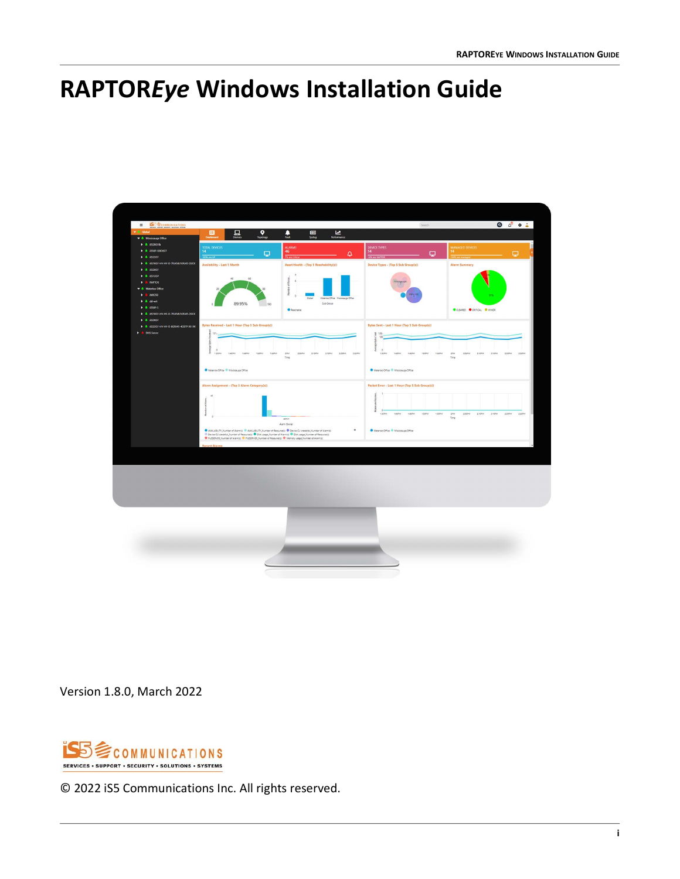## <span id="page-0-0"></span>**RAPTOR***Eye* **Windows Installation Guide**



Version 1.8.0, March 2022



© 2022 iS5 Communications Inc. All rights reserved.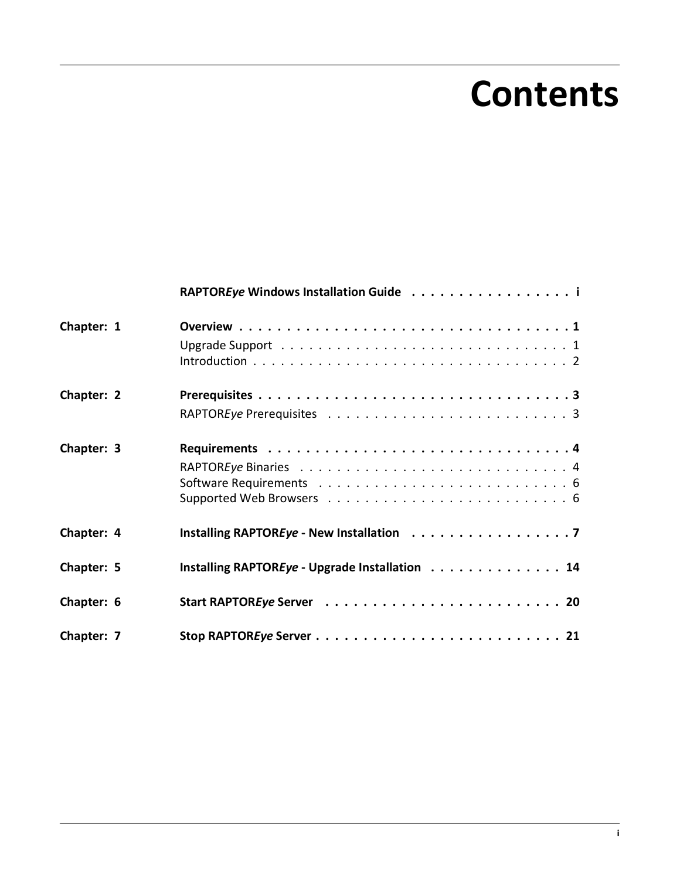# **Contents**

|            | RAPTOREye Windows Installation Guide i         |
|------------|------------------------------------------------|
| Chapter: 1 |                                                |
|            |                                                |
| Chapter: 2 |                                                |
|            |                                                |
| Chapter: 3 |                                                |
|            |                                                |
|            |                                                |
|            |                                                |
| Chapter: 4 | Installing RAPTOREye - New Installation 7      |
| Chapter: 5 | Installing RAPTOREye - Upgrade Installation 14 |
| Chapter: 6 |                                                |
| Chapter: 7 |                                                |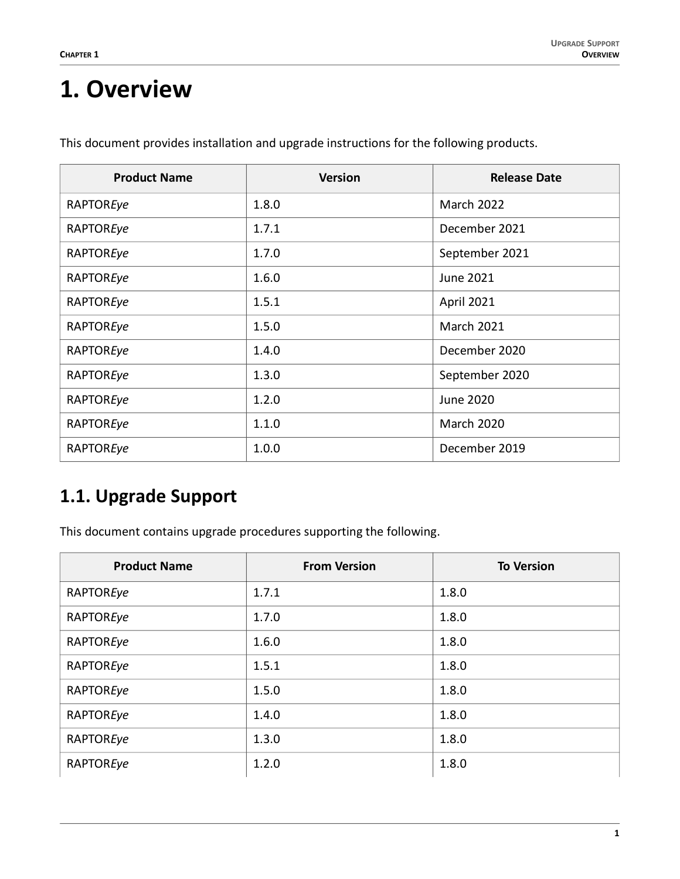### <span id="page-2-0"></span>**1. Overview**

| <b>Product Name</b> | <b>Version</b> | <b>Release Date</b> |
|---------------------|----------------|---------------------|
| RAPTOREye           | 1.8.0          | <b>March 2022</b>   |
| RAPTOREye           | 1.7.1          | December 2021       |
| RAPTOREye           | 1.7.0          | September 2021      |
| RAPTOREye           | 1.6.0          | June 2021           |
| RAPTOREye           | 1.5.1          | April 2021          |
| RAPTOREye           | 1.5.0          | <b>March 2021</b>   |
| RAPTOREye           | 1.4.0          | December 2020       |
| RAPTOREye           | 1.3.0          | September 2020      |
| RAPTOREye           | 1.2.0          | June 2020           |
| RAPTOREye           | 1.1.0          | <b>March 2020</b>   |
| RAPTOREye           | 1.0.0          | December 2019       |

This document provides installation and upgrade instructions for the following products.

### <span id="page-2-1"></span>**1.1. Upgrade Support**

This document contains upgrade procedures supporting the following.

| <b>Product Name</b> | <b>From Version</b> | <b>To Version</b> |
|---------------------|---------------------|-------------------|
| RAPTOREye           | 1.7.1               | 1.8.0             |
| RAPTOREye           | 1.7.0               | 1.8.0             |
| RAPTOREye           | 1.6.0               | 1.8.0             |
| RAPTOREye           | 1.5.1               | 1.8.0             |
| RAPTOREye           | 1.5.0               | 1.8.0             |
| RAPTOREye           | 1.4.0               | 1.8.0             |
| RAPTOREye           | 1.3.0               | 1.8.0             |
| RAPTOREye           | 1.2.0               | 1.8.0             |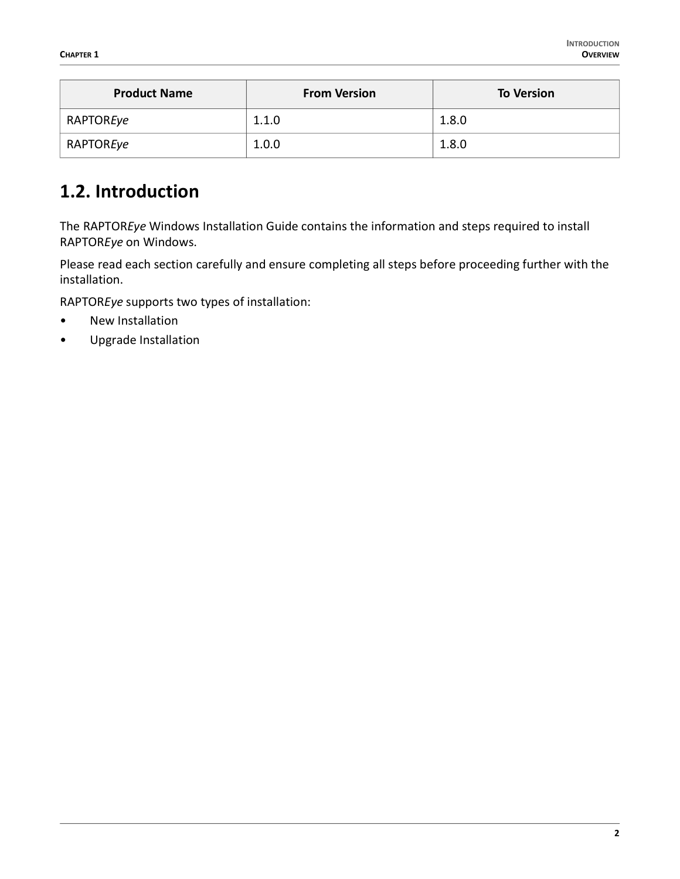| <b>Product Name</b> | <b>From Version</b> | <b>To Version</b> |  |
|---------------------|---------------------|-------------------|--|
| RAPTOREye           | 1.1.0               | 1.8.0             |  |
| RAPTOREye           | 1.0.0               | 1.8.0             |  |

### <span id="page-3-0"></span>**1.2. Introduction**

The RAPTOR*Eye* Windows Installation Guide contains the information and steps required to install RAPTOR*Eye* on Windows.

Please read each section carefully and ensure completing all steps before proceeding further with the installation.

RAPTOR*Eye* supports two types of installation:

- New Installation
- Upgrade Installation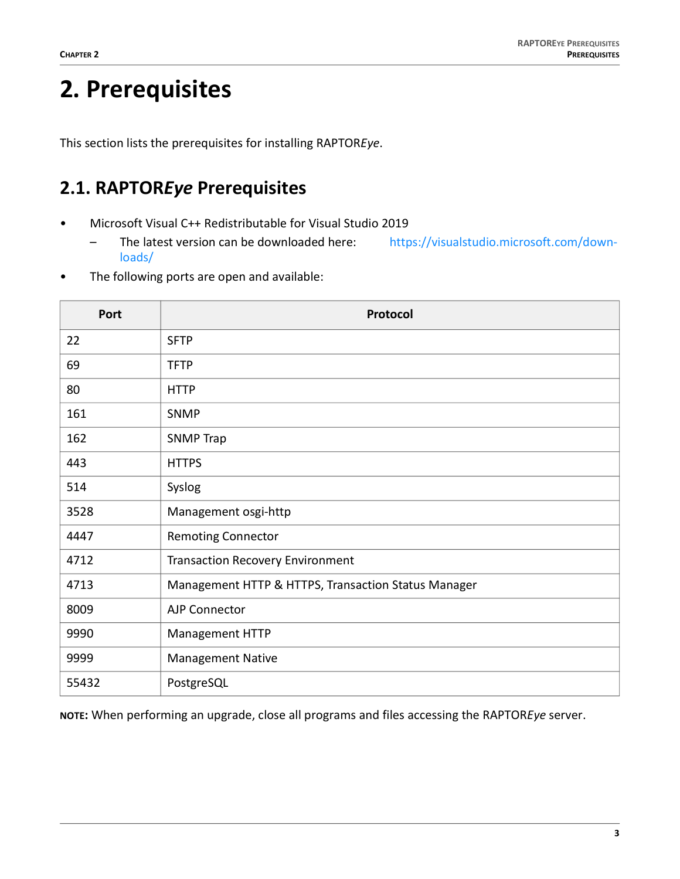## <span id="page-4-0"></span>**2. Prerequisites**

This section lists the prerequisites for installing RAPTOR*Eye*.

### <span id="page-4-1"></span>**2.1. RAPTOR***Eye* **Prerequisites**

- Microsoft Visual C++ Redistributable for Visual Studio 2019
	- The latest version can be downloaded here: [https://visualstudio.microsoft.com/down](https://visualstudio.microsoft.com/downloads/)[loads/](https://visualstudio.microsoft.com/downloads/)
- The following ports are open and available:

| Port  | Protocol                                            |
|-------|-----------------------------------------------------|
| 22    | <b>SFTP</b>                                         |
| 69    | <b>TFTP</b>                                         |
| 80    | <b>HTTP</b>                                         |
| 161   | <b>SNMP</b>                                         |
| 162   | <b>SNMP Trap</b>                                    |
| 443   | <b>HTTPS</b>                                        |
| 514   | Syslog                                              |
| 3528  | Management osgi-http                                |
| 4447  | <b>Remoting Connector</b>                           |
| 4712  | <b>Transaction Recovery Environment</b>             |
| 4713  | Management HTTP & HTTPS, Transaction Status Manager |
| 8009  | AJP Connector                                       |
| 9990  | Management HTTP                                     |
| 9999  | <b>Management Native</b>                            |
| 55432 | PostgreSQL                                          |

**NOTE:** When performing an upgrade, close all programs and files accessing the RAPTOR*Eye* server.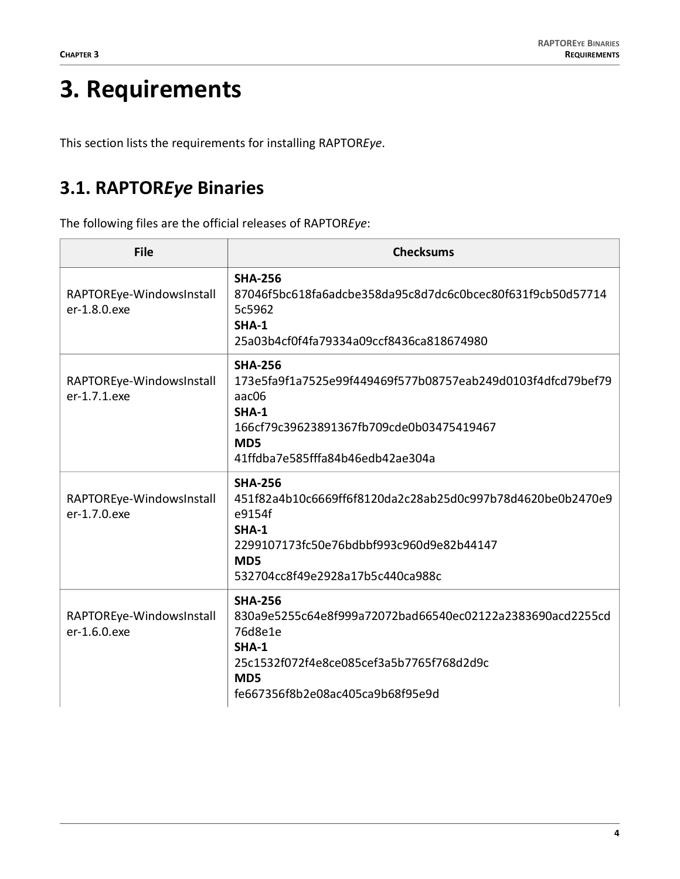## <span id="page-5-0"></span>**3. Requirements**

This section lists the requirements for installing RAPTOR*Eye*.

### <span id="page-5-1"></span>**3.1. RAPTOR***Eye* **Binaries**

The following files are the official releases of RAPTOR*Eye*:

| <b>File</b>                              | <b>Checksums</b>                                                                                                                                                                                          |
|------------------------------------------|-----------------------------------------------------------------------------------------------------------------------------------------------------------------------------------------------------------|
| RAPTOREye-WindowsInstall<br>er-1.8.0.exe | <b>SHA-256</b><br>87046f5bc618fa6adcbe358da95c8d7dc6c0bcec80f631f9cb50d57714<br>5c5962<br>$SHA-1$<br>25a03b4cf0f4fa79334a09ccf8436ca818674980                                                             |
| RAPTOREye-WindowsInstall<br>er-1.7.1.exe | <b>SHA-256</b><br>173e5fa9f1a7525e99f449469f577b08757eab249d0103f4dfcd79bef79<br>aac06<br><b>SHA-1</b><br>166cf79c39623891367fb709cde0b03475419467<br>MD <sub>5</sub><br>41ffdba7e585fffa84b46edb42ae304a |
| RAPTOREye-WindowsInstall<br>er-1.7.0.exe | <b>SHA-256</b><br>451f82a4b10c6669ff6f8120da2c28ab25d0c997b78d4620be0b2470e9<br>e9154f<br><b>SHA-1</b><br>2299107173fc50e76bdbbf993c960d9e82b44147<br>MD <sub>5</sub><br>532704cc8f49e2928a17b5c440ca988c |
| RAPTOREye-WindowsInstall<br>er-1.6.0.exe | <b>SHA-256</b><br>830a9e5255c64e8f999a72072bad66540ec02122a2383690acd2255cd<br>76d8e1e<br>SHA-1<br>25c1532f072f4e8ce085cef3a5b7765f768d2d9c<br>MD <sub>5</sub><br>fe667356f8b2e08ac405ca9b68f95e9d        |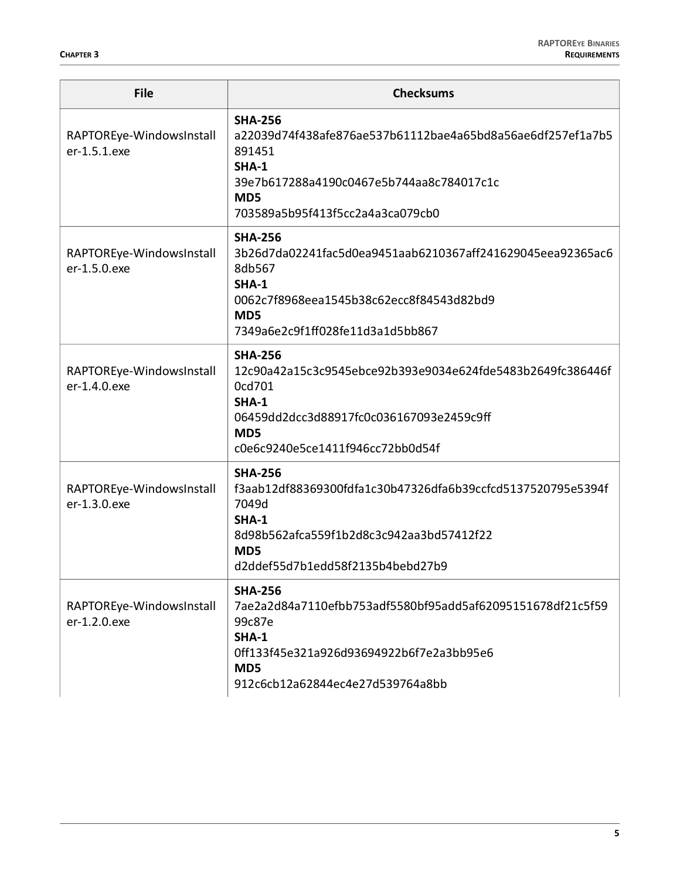| <b>File</b>                              | <b>Checksums</b>                                                                                                                                                                                          |  |  |
|------------------------------------------|-----------------------------------------------------------------------------------------------------------------------------------------------------------------------------------------------------------|--|--|
| RAPTOREye-WindowsInstall<br>er-1.5.1.exe | <b>SHA-256</b><br>a22039d74f438afe876ae537b61112bae4a65bd8a56ae6df257ef1a7b5<br>891451<br><b>SHA-1</b><br>39e7b617288a4190c0467e5b744aa8c784017c1c                                                        |  |  |
|                                          | MD <sub>5</sub><br>703589a5b95f413f5cc2a4a3ca079cb0                                                                                                                                                       |  |  |
| RAPTOREye-WindowsInstall<br>er-1.5.0.exe | <b>SHA-256</b><br>3b26d7da02241fac5d0ea9451aab6210367aff241629045eea92365ac6<br>8db567<br><b>SHA-1</b><br>0062c7f8968eea1545b38c62ecc8f84543d82bd9<br>MD5                                                 |  |  |
|                                          | 7349a6e2c9f1ff028fe11d3a1d5bb867                                                                                                                                                                          |  |  |
| RAPTOREye-WindowsInstall<br>er-1.4.0.exe | <b>SHA-256</b><br>12c90a42a15c3c9545ebce92b393e9034e624fde5483b2649fc386446f<br>0cd701<br><b>SHA-1</b><br>06459dd2dcc3d88917fc0c036167093e2459c9ff                                                        |  |  |
|                                          | MD <sub>5</sub><br>c0e6c9240e5ce1411f946cc72bb0d54f                                                                                                                                                       |  |  |
| RAPTOREye-WindowsInstall<br>er-1.3.0.exe | <b>SHA-256</b><br>f3aab12df88369300fdfa1c30b47326dfa6b39ccfcd5137520795e5394f<br>7049d<br><b>SHA-1</b><br>8d98b562afca559f1b2d8c3c942aa3bd57412f22<br>MD <sub>5</sub><br>d2ddef55d7b1edd58f2135b4bebd27b9 |  |  |
| RAPTOREye-WindowsInstall<br>er-1.2.0.exe | <b>SHA-256</b><br>7ae2a2d84a7110efbb753adf5580bf95add5af62095151678df21c5f59<br>99c87e<br><b>SHA-1</b><br>0ff133f45e321a926d93694922b6f7e2a3bb95e6<br>MD5<br>912c6cb12a62844ec4e27d539764a8bb             |  |  |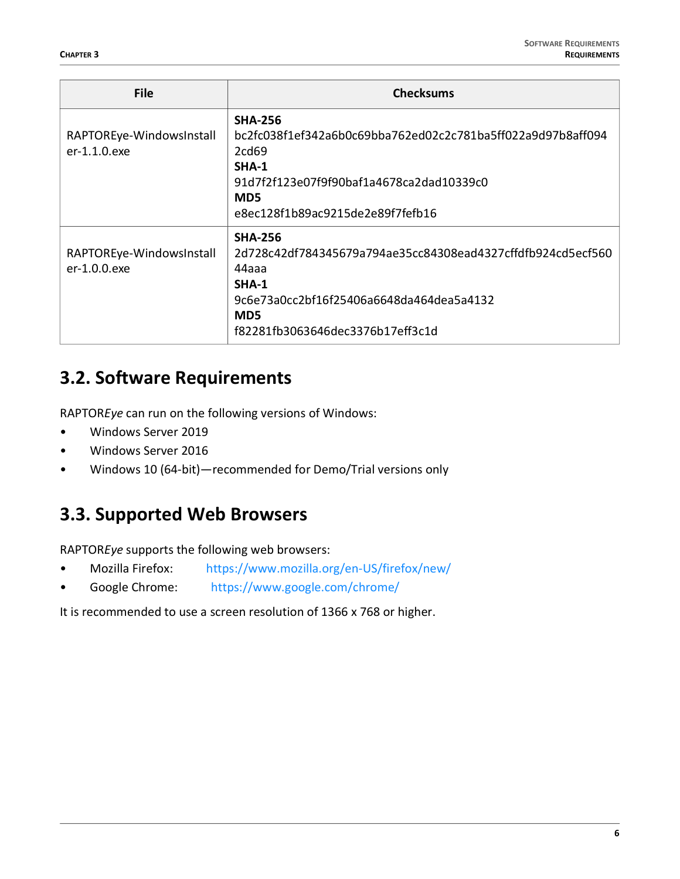| <b>File</b>                              | <b>Checksums</b>                                                                                                                                                                                          |
|------------------------------------------|-----------------------------------------------------------------------------------------------------------------------------------------------------------------------------------------------------------|
| RAPTOREye-WindowsInstall<br>er-1.1.0.exe | <b>SHA-256</b><br>bc2fc038f1ef342a6b0c69bba762ed02c2c781ba5ff022a9d97b8aff094<br>2cd69<br><b>SHA-1</b><br>91d7f2f123e07f9f90baf1a4678ca2dad10339c0<br>MD <sub>5</sub><br>e8ec128f1b89ac9215de2e89f7fefb16 |
| RAPTOREye-WindowsInstall<br>er-1.0.0.exe | <b>SHA-256</b><br>2d728c42df784345679a794ae35cc84308ead4327cffdfb924cd5ecf560<br>44aaa<br>$SHA-1$<br>9c6e73a0cc2bf16f25406a6648da464dea5a4132<br>MD <sub>5</sub><br>f82281fb3063646dec3376b17eff3c1d      |

#### <span id="page-7-0"></span>**3.2. Software Requirements**

RAPTOR*Eye* can run on the following versions of Windows:

- Windows Server 2019
- Windows Server 2016
- Windows 10 (64-bit)—recommended for Demo/Trial versions only

### <span id="page-7-1"></span>**3.3. Supported Web Browsers**

RAPTOR*Eye* supports the following web browsers:

- Mozilla Firefox: <https://www.mozilla.org/en-US/firefox/new/>
- Google Chrome:<https://www.google.com/chrome/>

It is recommended to use a screen resolution of 1366 x 768 or higher.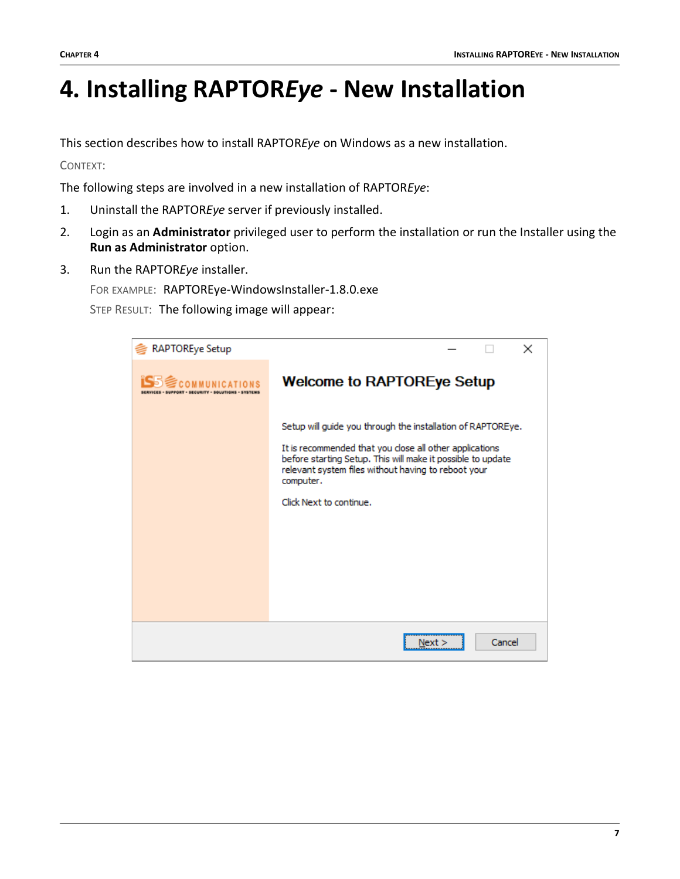### <span id="page-8-0"></span>**4. Installing RAPTOR***Eye* **- New Installation**

This section describes how to install RAPTOR*Eye* on Windows as a new installation.

CONTEXT:

The following steps are involved in a new installation of RAPTOR*Eye*:

- 1. Uninstall the RAPTOR*Eye* server if previously installed.
- 2. Login as an **Administrator** privileged user to perform the installation or run the Installer using the **Run as Administrator** option.
- 3. Run the RAPTOR*Eye* installer.

FOR EXAMPLE: RAPTOREye-WindowsInstaller-1.8.0.exe

| <b>RAPTOREye Setup</b> | ×                                                                                                                                                                                                                                                                                    |
|------------------------|--------------------------------------------------------------------------------------------------------------------------------------------------------------------------------------------------------------------------------------------------------------------------------------|
| COMMITMICA             | <b>Welcome to RAPTOREye Setup</b>                                                                                                                                                                                                                                                    |
|                        | Setup will guide you through the installation of RAPTOREye.<br>It is recommended that you close all other applications<br>before starting Setup. This will make it possible to update<br>relevant system files without having to reboot your<br>computer.<br>Click Next to continue. |
|                        | Cancel<br>Next >                                                                                                                                                                                                                                                                     |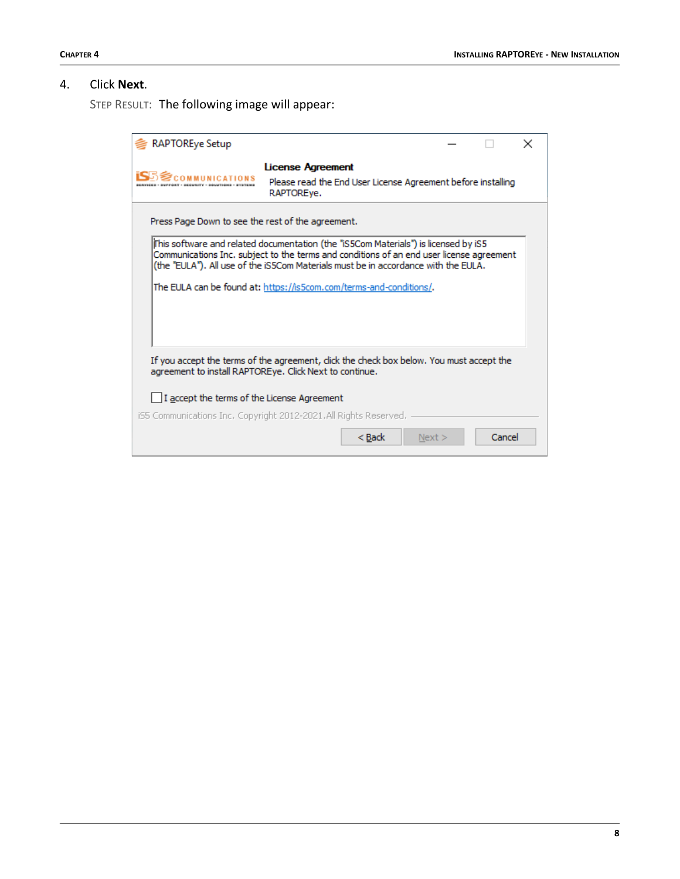#### 4. Click **Next**.

| <b>RAPTOREye Setup</b>                                                                                                                             |                                                                                                                                                                                                                                                                        |      |        | × |  |  |
|----------------------------------------------------------------------------------------------------------------------------------------------------|------------------------------------------------------------------------------------------------------------------------------------------------------------------------------------------------------------------------------------------------------------------------|------|--------|---|--|--|
|                                                                                                                                                    | <b>License Agreement</b><br>Please read the End User License Agreement before installing<br>RAPTOREye.                                                                                                                                                                 |      |        |   |  |  |
| Press Page Down to see the rest of the agreement.                                                                                                  |                                                                                                                                                                                                                                                                        |      |        |   |  |  |
|                                                                                                                                                    | iThis software and related documentation (the "iS5Com Materials") is licensed by iS5<br>Communications Inc. subject to the terms and conditions of an end user license agreement<br>(the "EULA"). All use of the iS5Com Materials must be in accordance with the EULA. |      |        |   |  |  |
|                                                                                                                                                    | The EULA can be found at: https://is5com.com/terms-and-conditions/.                                                                                                                                                                                                    |      |        |   |  |  |
| If you accept the terms of the agreement, dick the check box below. You must accept the<br>agreement to install RAPTOREye. Click Next to continue. |                                                                                                                                                                                                                                                                        |      |        |   |  |  |
| $\Box$ I accept the terms of the License Agreement                                                                                                 |                                                                                                                                                                                                                                                                        |      |        |   |  |  |
|                                                                                                                                                    | iS5 Communications Inc, Copyright 2012-2021, All Rights Reserved,                                                                                                                                                                                                      |      |        |   |  |  |
|                                                                                                                                                    | $<$ Back                                                                                                                                                                                                                                                               | Next | Cancel |   |  |  |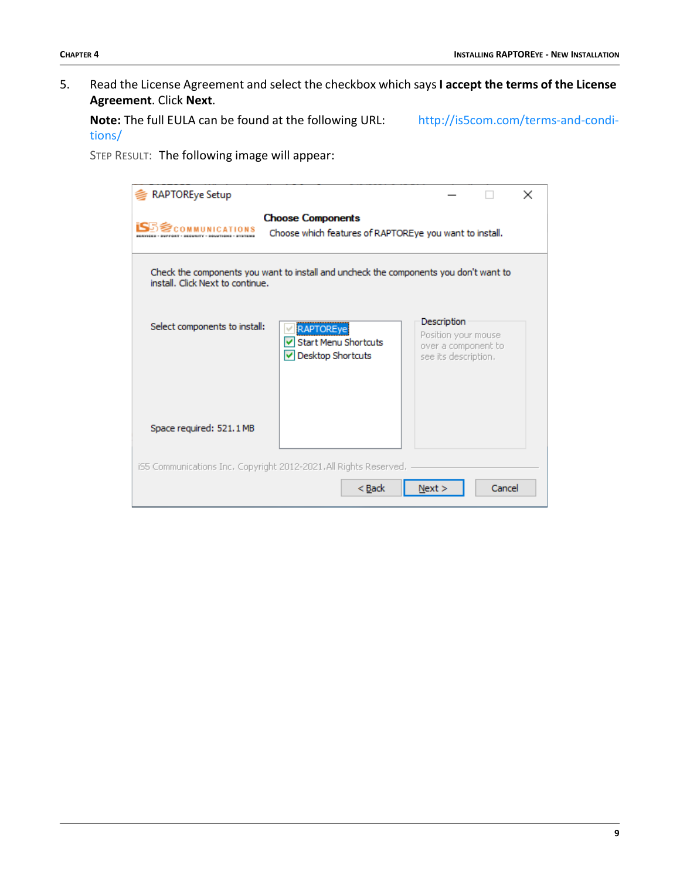5. Read the License Agreement and select the checkbox which says **I accept the terms of the License Agreement**. Click **Next**.

**Note:** The full EULA can be found at the following URL: [http://is5com.com/terms-and-condi](http://is5com.com/terms-and-conditions/)[tions/](http://is5com.com/terms-and-conditions/)

| <b>RAPTOREye Setup</b>           |                                                                                       |                                                                                   |        | × |
|----------------------------------|---------------------------------------------------------------------------------------|-----------------------------------------------------------------------------------|--------|---|
| <b>SCOMMUNICATIONS</b>           | <b>Choose Components</b><br>Choose which features of RAPTOREye you want to install.   |                                                                                   |        |   |
| install. Click Next to continue. | Check the components you want to install and uncheck the components you don't want to |                                                                                   |        |   |
| Select components to install:    | <b>RAPTOREye</b><br><b>Start Menu Shortcuts</b><br>Desktop Shortcuts                  | Description<br>Position your mouse<br>over a component to<br>see its description. |        |   |
| Space required: 521.1 MB         |                                                                                       |                                                                                   |        |   |
|                                  | iS5 Communications Inc. Copyright 2012-2021.All Rights Reserved.<br>$<$ Back          | Next >                                                                            | Cancel |   |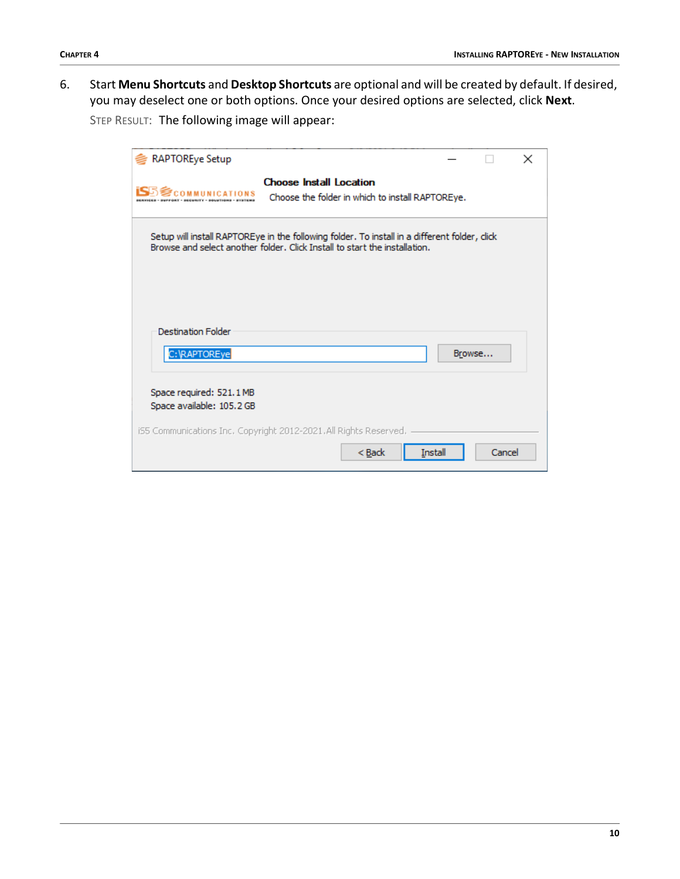6. Start **Menu Shortcuts** and **Desktop Shortcuts** are optional and will be created by default. If desired, you may deselect one or both options. Once your desired options are selected, click **Next**.

| <b>RAPTOREye Setup</b>                                |                                                                                                                                                                            |                |        | × |
|-------------------------------------------------------|----------------------------------------------------------------------------------------------------------------------------------------------------------------------------|----------------|--------|---|
|                                                       | <b>Choose Install Location</b><br>Choose the folder in which to install RAPTOREye.                                                                                         |                |        |   |
|                                                       | Setup will install RAPTOREye in the following folder. To install in a different folder, dick<br>Browse and select another folder. Click Install to start the installation. |                |        |   |
| <b>Destination Folder</b><br>C:\RAPTOREye             |                                                                                                                                                                            |                | Browse |   |
| Space required: 521.1 MB<br>Space available: 105.2 GB |                                                                                                                                                                            |                |        |   |
|                                                       | iS5 Communications Inc. Copyright 2012-2021.All Rights Reserved.<br>$Back$                                                                                                 | <b>Install</b> | Cancel |   |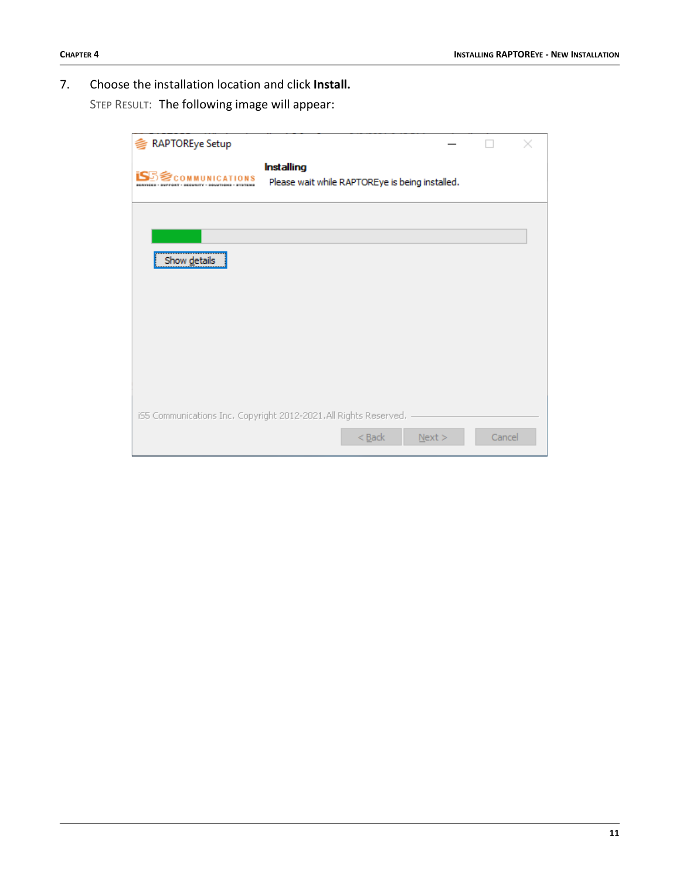7. Choose the installation location and click **Install.**

| <b>RAPTOREye Setup</b> |                                                                      |        |
|------------------------|----------------------------------------------------------------------|--------|
| <b>COMMUNICATIONS</b>  | <b>Installing</b><br>Please wait while RAPTOREye is being installed. |        |
|                        |                                                                      |        |
| Show details           |                                                                      |        |
|                        |                                                                      |        |
|                        |                                                                      |        |
|                        |                                                                      |        |
|                        |                                                                      |        |
|                        | iS5 Communications Inc. Copyright 2012-2021.All Rights Reserved.     |        |
|                        | $<$ Back<br>Next                                                     | Cancel |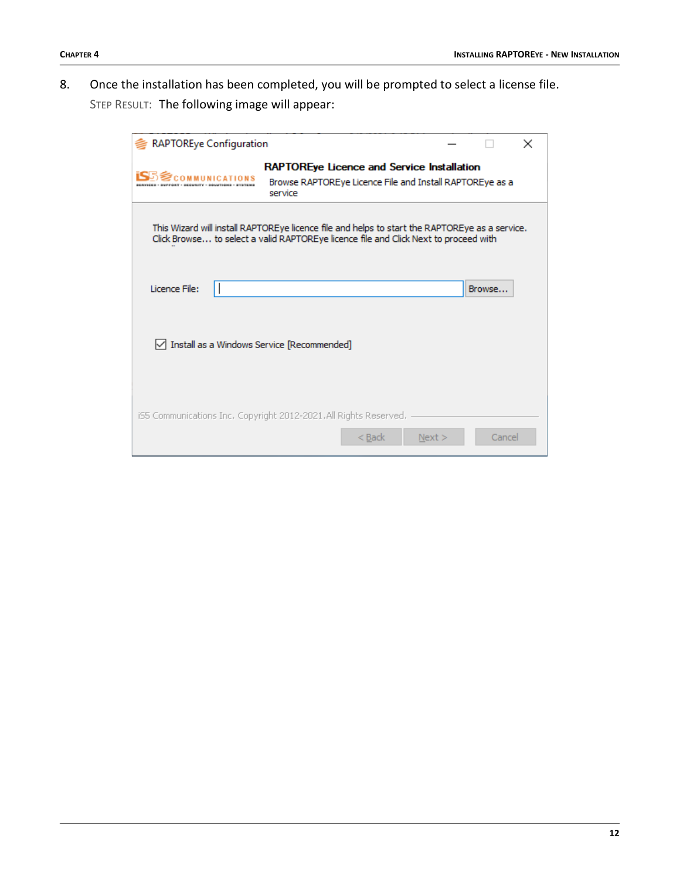8. Once the installation has been completed, you will be prompted to select a license file. STEP RESULT: The following image will appear:

| <b>RAPTOREye Configuration</b>             |                                                                                                                                                                                        |        |        | $\times$ |
|--------------------------------------------|----------------------------------------------------------------------------------------------------------------------------------------------------------------------------------------|--------|--------|----------|
| <b>SCOMMUNICATIO</b>                       | RAPTOREye Licence and Service Installation<br>Browse RAPTOREye Licence File and Install RAPTOREye as a<br>service                                                                      |        |        |          |
|                                            | This Wizard will install RAPTOREye licence file and helps to start the RAPTOREye as a service.<br>Click Browse to select a valid RAPTOREye licence file and Click Next to proceed with |        |        |          |
| Licence File:                              |                                                                                                                                                                                        |        | Browse |          |
| Install as a Windows Service [Recommended] |                                                                                                                                                                                        |        |        |          |
|                                            | iS5 Communications Inc. Copyright 2012-2021.All Rights Reserved.<br>< Back                                                                                                             | Next > | Cancel |          |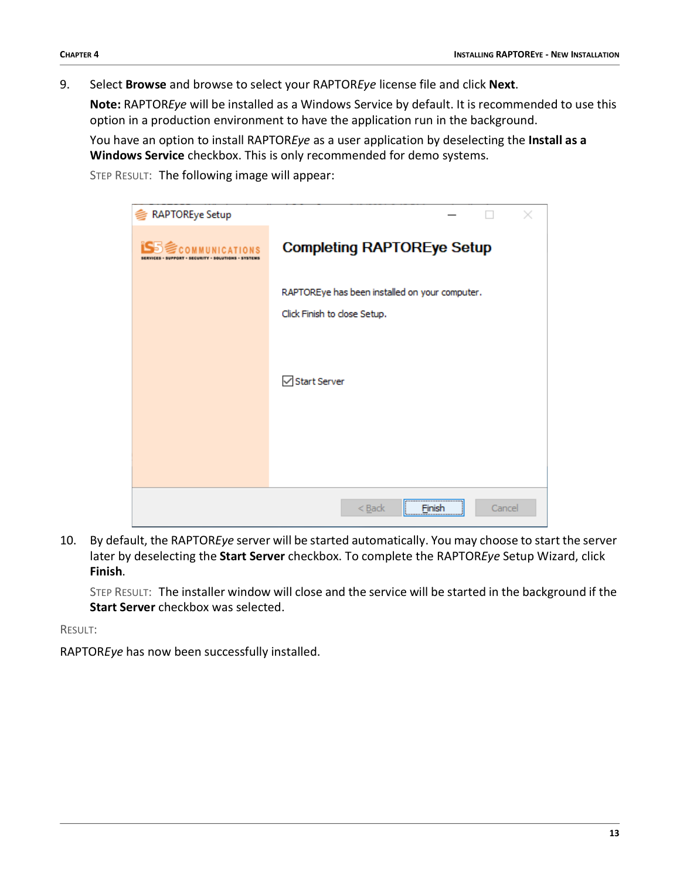9. Select **Browse** and browse to select your RAPTOR*Eye* license file and click **Next**.

**Note:** RAPTOR*Eye* will be installed as a Windows Service by default. It is recommended to use this option in a production environment to have the application run in the background.

You have an option to install RAPTOR*Eye* as a user application by deselecting the **Install as a Windows Service** checkbox. This is only recommended for demo systems.

STEP RESULT: The following image will appear:

| <b>RAPTOREye Setup</b> |                                                                                |
|------------------------|--------------------------------------------------------------------------------|
| COMMUNICATIONS         | <b>Completing RAPTOREye Setup</b>                                              |
|                        | RAPTOREye has been installed on your computer.<br>Click Finish to close Setup. |
|                        | Start Server                                                                   |
|                        |                                                                                |
|                        | ,,,,,,,,,,,,,,,,,,,,,,,,,,,,,,,,,<br>$Back$<br>Cancel<br>Finish                |

10. By default, the RAPTOR*Eye* server will be started automatically. You may choose to start the server later by deselecting the **Start Server** checkbox. To complete the RAPTOR*Eye* Setup Wizard, click **Finish**.

STEP RESULT: The installer window will close and the service will be started in the background if the **Start Server** checkbox was selected.

RESULT:

RAPTOR*Eye* has now been successfully installed.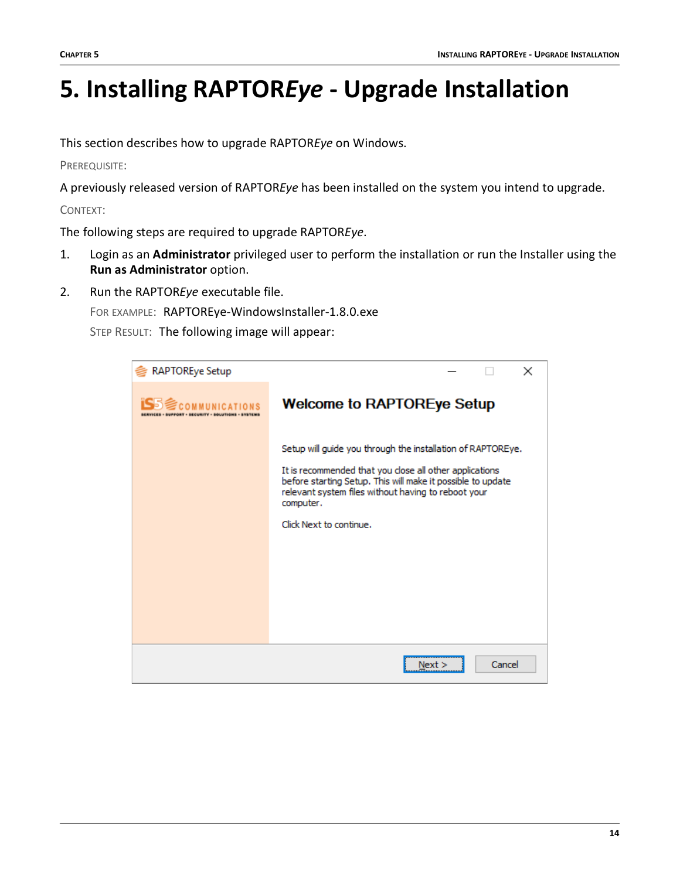## <span id="page-15-0"></span>**5. Installing RAPTOR***Eye* **- Upgrade Installation**

This section describes how to upgrade RAPTOR*Eye* on Windows.

PREREQUISITE:

A previously released version of RAPTOR*Eye* has been installed on the system you intend to upgrade.

CONTEXT:

The following steps are required to upgrade RAPTOR*Eye*.

- 1. Login as an **Administrator** privileged user to perform the installation or run the Installer using the **Run as Administrator** option.
- 2. Run the RAPTOR*Eye* executable file.

FOR EXAMPLE: RAPTOREye-WindowsInstaller-1.8.0.exe

| RAPTOREye Setup  | ×                                                                                                                                                                                                                                                                                    |
|------------------|--------------------------------------------------------------------------------------------------------------------------------------------------------------------------------------------------------------------------------------------------------------------------------------|
| <b>COUNTINIC</b> | <b>Welcome to RAPTOREye Setup</b>                                                                                                                                                                                                                                                    |
|                  | Setup will guide you through the installation of RAPTOREye.<br>It is recommended that you close all other applications<br>before starting Setup. This will make it possible to update<br>relevant system files without having to reboot your<br>computer.<br>Click Next to continue. |
|                  | Cancel<br>Next :                                                                                                                                                                                                                                                                     |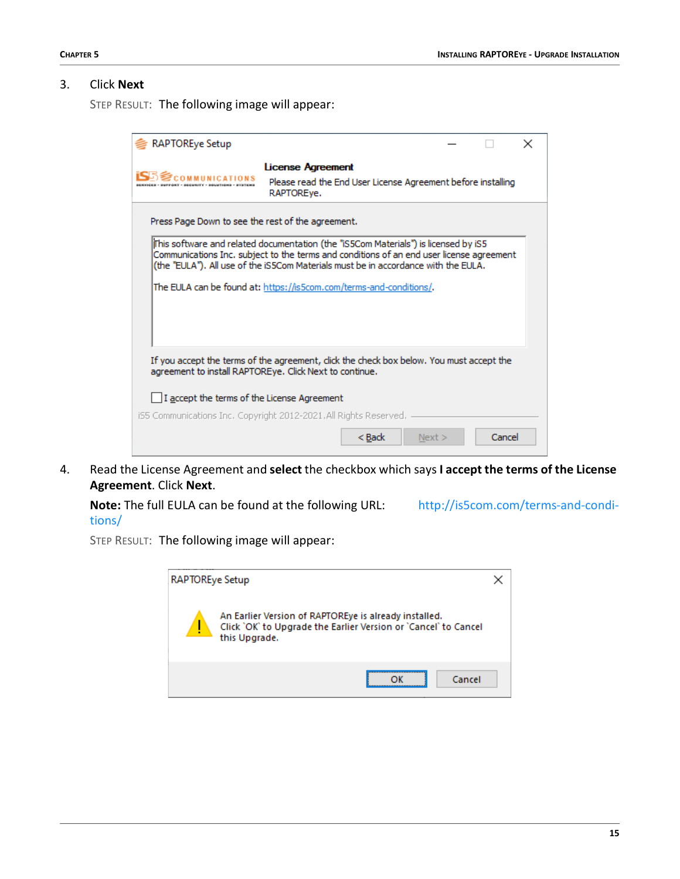#### 3. Click **Next**

STEP RESULT: The following image will appear:

| <b>RAPTOREye Setup</b>                            |                                                                                                                                                                                                                                                                        |        |        |  |
|---------------------------------------------------|------------------------------------------------------------------------------------------------------------------------------------------------------------------------------------------------------------------------------------------------------------------------|--------|--------|--|
| <b>SA SCOMMUNICATIONS</b>                         | <b>License Agreement</b><br>Please read the End User License Agreement before installing<br>RAPTOREve.                                                                                                                                                                 |        |        |  |
| Press Page Down to see the rest of the agreement. |                                                                                                                                                                                                                                                                        |        |        |  |
|                                                   | lThis software and related documentation (the "iS5Com Materials") is licensed by iS5<br>Communications Inc. subject to the terms and conditions of an end user license agreement<br>(the "EULA"). All use of the iS5Com Materials must be in accordance with the EULA. |        |        |  |
|                                                   | The EULA can be found at: https://is5com.com/terms-and-conditions/.                                                                                                                                                                                                    |        |        |  |
|                                                   | If you accept the terms of the agreement, click the check box below. You must accept the<br>agreement to install RAPTOREye. Click Next to continue.                                                                                                                    |        |        |  |
| I I accept the terms of the License Agreement     |                                                                                                                                                                                                                                                                        |        |        |  |
|                                                   | iS5 Communications Inc, Copyright 2012-2021, All Rights Reserved,                                                                                                                                                                                                      |        |        |  |
|                                                   | < Back                                                                                                                                                                                                                                                                 | Next > | Cancel |  |

4. Read the License Agreement and **select** the checkbox which says **I accept the terms of the License Agreement**. Click **Next**.

**Note:** The full EULA can be found at the following URL: [http://is5com.com/terms-and-condi](http://is5com.com/terms-and-conditions/)[tions/](http://is5com.com/terms-and-conditions/)

| RAPTOREye Setup |                                                                                                                                           |  |
|-----------------|-------------------------------------------------------------------------------------------------------------------------------------------|--|
| ų               | An Earlier Version of RAPTOREye is already installed.<br>Click `OK` to Upgrade the Earlier Version or `Cancel` to Cancel<br>this Upgrade. |  |
|                 | Cancel                                                                                                                                    |  |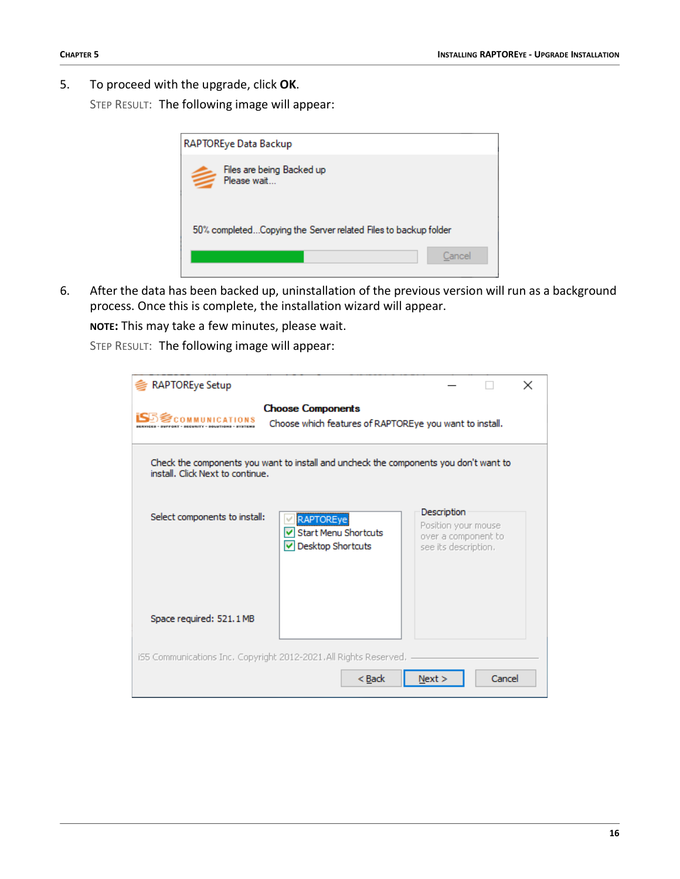5. To proceed with the upgrade, click **OK**.

STEP RESULT: The following image will appear:

| RAPTOREye Data Backup                                          |        |
|----------------------------------------------------------------|--------|
| Files are being Backed up<br>Please wait                       |        |
| 50% completedCopying the Server related Files to backup folder |        |
|                                                                | Cancel |

6. After the data has been backed up, uninstallation of the previous version will run as a background process. Once this is complete, the installation wizard will appear.

**NOTE:** This may take a few minutes, please wait.

| <b>RAPTOREye Setup</b>           |                                                                                       |                                                                                   |        | × |
|----------------------------------|---------------------------------------------------------------------------------------|-----------------------------------------------------------------------------------|--------|---|
| <b>SCOMMUNICATIONS</b>           | <b>Choose Components</b><br>Choose which features of RAPTOREye you want to install.   |                                                                                   |        |   |
| install. Click Next to continue. | Check the components you want to install and uncheck the components you don't want to |                                                                                   |        |   |
| Select components to install:    | <b>RAPTOREye</b><br><b>Start Menu Shortcuts</b><br>Desktop Shortcuts                  | Description<br>Position your mouse<br>over a component to<br>see its description. |        |   |
| Space required: 521.1 MB         |                                                                                       |                                                                                   |        |   |
|                                  | iS5 Communications Inc. Copyright 2012-2021.All Rights Reserved.<br>< Back            | Next >                                                                            | Cancel |   |
|                                  |                                                                                       |                                                                                   |        |   |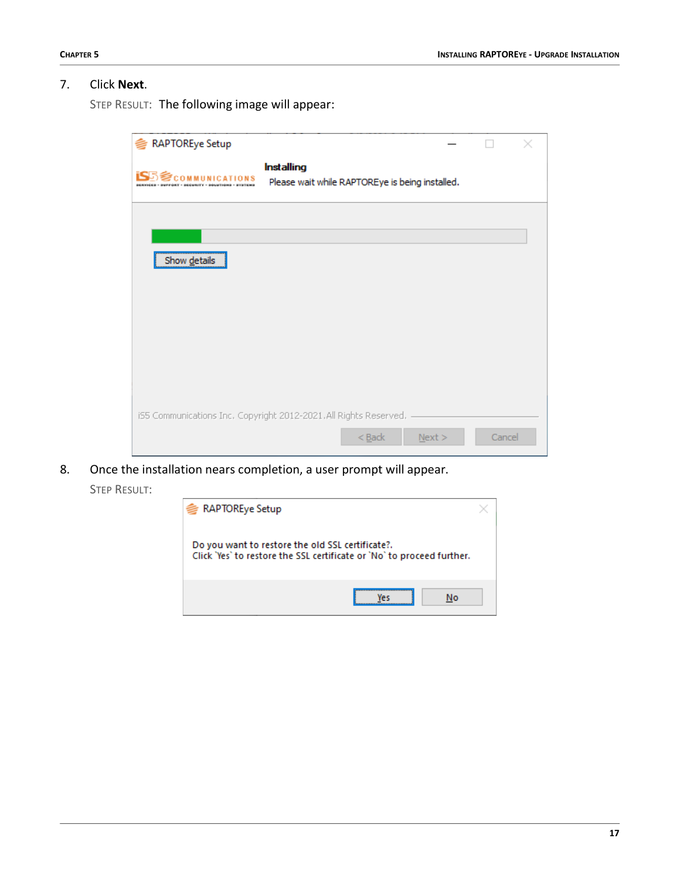#### 7. Click **Next**.

| <b>RAPTOREye Setup</b>                  |                                                                                           |        |  |
|-----------------------------------------|-------------------------------------------------------------------------------------------|--------|--|
| <b>IS</b> 5 <sup>5</sup> COMMUNICATIONS | <b>Installing</b><br>Please wait while RAPTOREye is being installed.                      |        |  |
|                                         |                                                                                           |        |  |
| Show details                            |                                                                                           |        |  |
|                                         |                                                                                           |        |  |
|                                         |                                                                                           |        |  |
|                                         | iS5 Communications Inc. Copyright 2012-2021.All Rights Reserved.<br>$<$ Back<br>$N$ ext > | Cancel |  |

- 8. Once the installation nears completion, a user prompt will appear.
	- STEP RESULT:

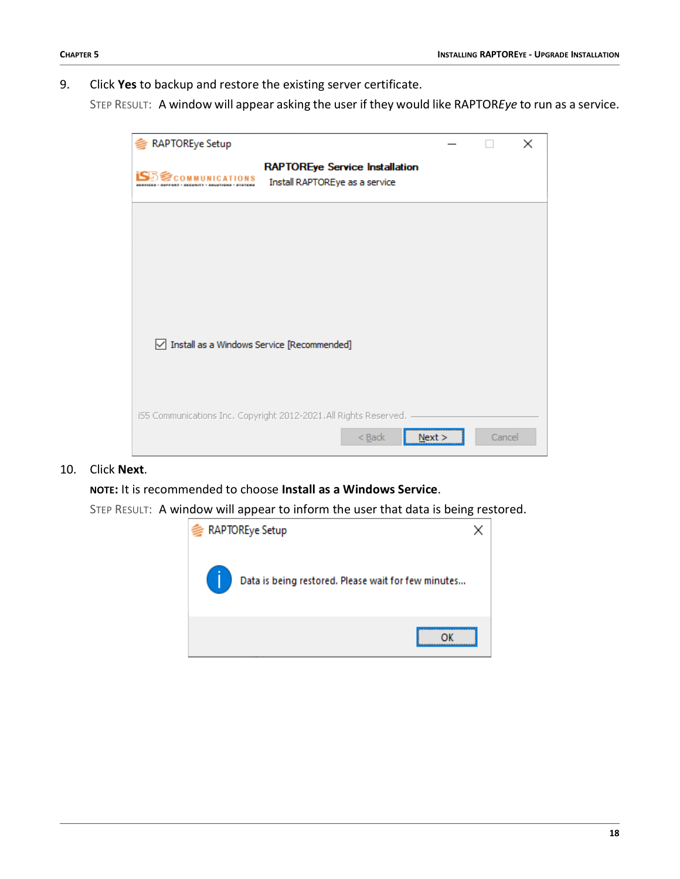9. Click **Yes** to backup and restore the existing server certificate.

STEP RESULT: A window will appear asking the user if they would like RAPTOR*Eye* to run as a service.

| <b>RAPTOREye Setup</b>                       |                                                                         |        |        | × |
|----------------------------------------------|-------------------------------------------------------------------------|--------|--------|---|
| <b>COMMUNICATIONS</b>                        | <b>RAPTOREye Service Installation</b><br>Install RAPTOREye as a service |        |        |   |
|                                              |                                                                         |        |        |   |
|                                              |                                                                         |        |        |   |
|                                              |                                                                         |        |        |   |
| ○ Install as a Windows Service [Recommended] |                                                                         |        |        |   |
|                                              | iS5 Communications Inc. Copyright 2012-2021. All Rights Reserved.       |        |        |   |
|                                              | $<$ Back                                                                | Next > | Cancel |   |

#### 10. Click **Next**.

**NOTE:** It is recommended to choose **Install as a Windows Service**.

STEP RESULT: A window will appear to inform the user that data is being restored.

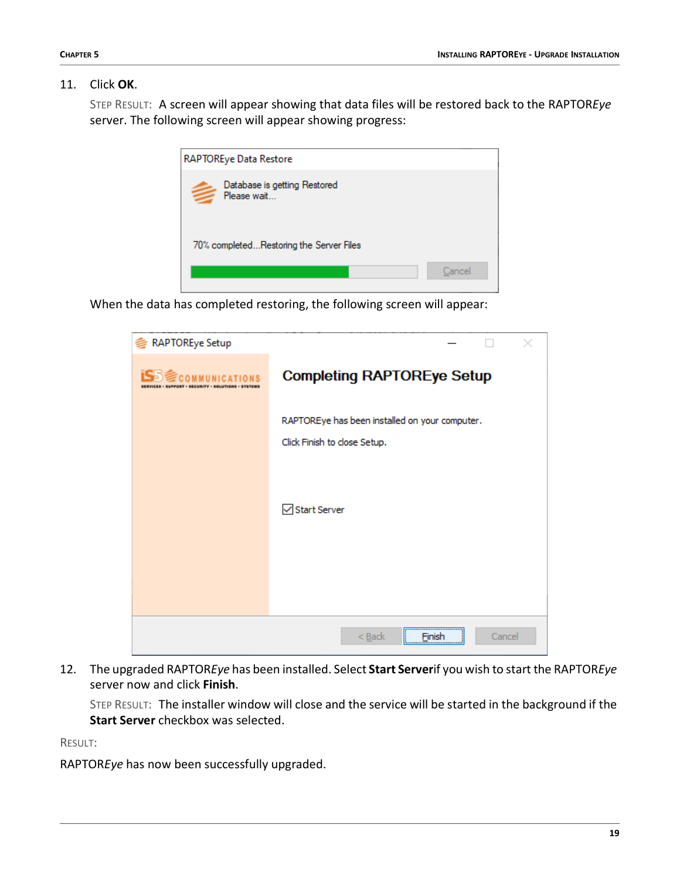#### 11. Click **OK**.

STEP RESULT: A screen will appear showing that data files will be restored back to the RAPTOR*Eye* server. The following screen will appear showing progress:

| RAPTOREye Data Restore                      |        |
|---------------------------------------------|--------|
| Database is getting Restored<br>Please wait |        |
| 70% completedRestoring the Server Files     |        |
|                                             | Cancel |

When the data has completed restoring, the following screen will appear:

| <b>RAPTOREye Setup</b>   |                                                                                |
|--------------------------|--------------------------------------------------------------------------------|
| <b>iS</b> S communicatio | <b>Completing RAPTOREye Setup</b>                                              |
|                          | RAPTOREye has been installed on your computer.<br>Click Finish to close Setup. |
|                          | Start Server                                                                   |
|                          |                                                                                |
|                          | Cancel<br>$Back$<br>Finish                                                     |

12. The upgraded RAPTOR*Eye* has been installed. Select **Start Server**if you wish to start the RAPTOR*Eye* server now and click **Finish**.

STEP RESULT: The installer window will close and the service will be started in the background if the **Start Server** checkbox was selected.

RESULT:

RAPTOR*Eye* has now been successfully upgraded.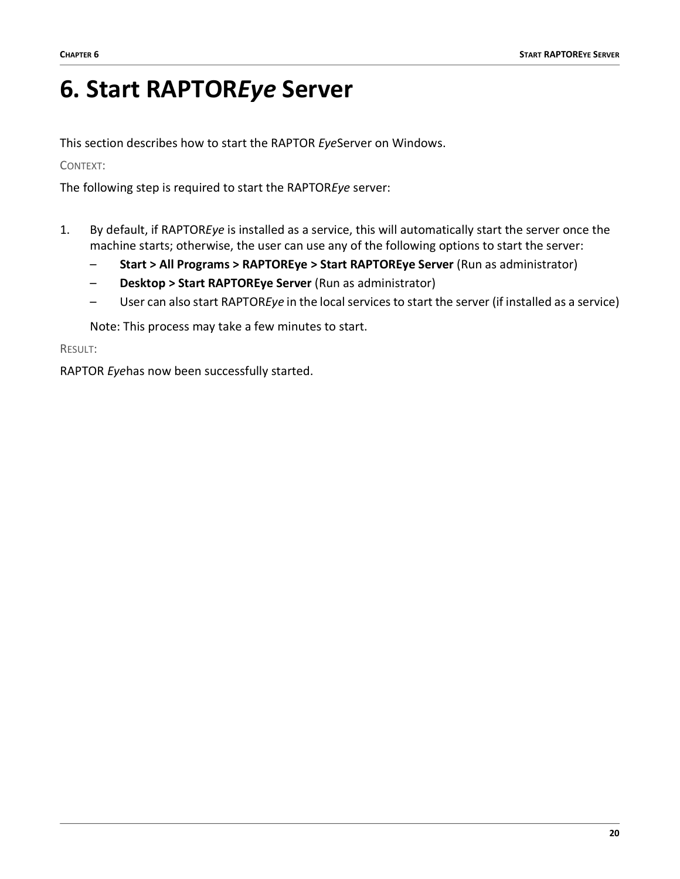## <span id="page-21-0"></span>**6. Start RAPTOR***Eye* **Server**

This section describes how to start the RAPTOR *Eye*Server on Windows.

CONTEXT:

The following step is required to start the RAPTOR*Eye* server:

- 1. By default, if RAPTOR*Eye* is installed as a service, this will automatically start the server once the machine starts; otherwise, the user can use any of the following options to start the server:
	- **Start > All Programs > RAPTOREye > Start RAPTOREye Server** (Run as administrator)
	- **Desktop > Start RAPTOREye Server** (Run as administrator)
	- User can also start RAPTOR*Eye* in the local services to start the server (if installed as a service)

Note: This process may take a few minutes to start.

RESULT:

RAPTOR *Eye*has now been successfully started.